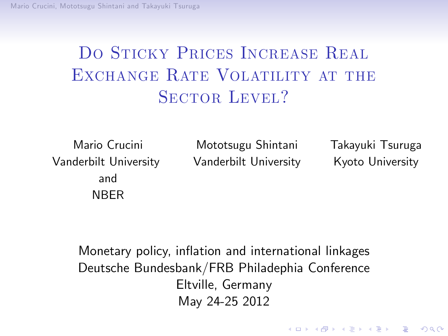[Mario Crucini, Mo](#page-1-0)totsugu Shintani and Takayuki Tsuruga

# DO STICKY PRICES INCREASE REAL EXCHANGE RATE VOLATILITY AT THE SECTOR LEVEL?

Vanderbilt University Vanderbilt University Kyoto University and NBER

Mario Crucini Mototsugu Shintani Takayuki Tsuruga

**KORK STRAIN A BY A GRAY** 

<span id="page-0-0"></span>Monetary policy, inflation and international linkages Deutsche Bundesbank/FRB Philadephia Conference Eltville, Germany May 24-25 2012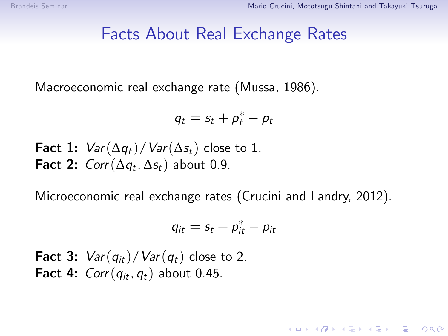#### Facts About Real Exchange Rates

Macroeconomic real exchange rate (Mussa, 1986).

$$
q_t = s_t + p_t^* - p_t
$$

Fact 1:  $Var(\Delta q_t)/Var(\Delta s_t)$  close to 1. **Fact 2:**  $Corr(\Delta q_t, \Delta s_t)$  about 0.9.

Microeconomic real exchange rates (Crucini and Landry, 2012).

$$
q_{it} = s_t + p_{it}^* - p_{it}
$$

<span id="page-1-1"></span><span id="page-1-0"></span>**Fact 3:**  $Var(q_{it})/Var(q_t)$  close to 2. Fact 4:  $Corr(q_{it}, q_t)$  about 0.45.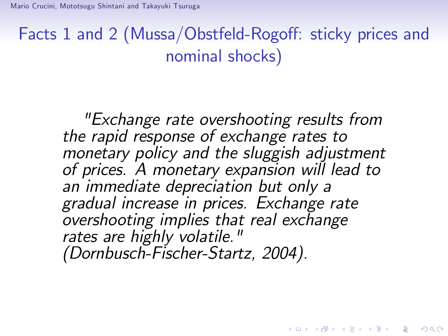# Facts 1 and 2 (Mussa/Obstfeld-Rogoff: sticky prices and nominal shocks)

"Exchange rate overshooting results from the rapid response of exchange rates to monetary policy and the sluggish adjustment of prices. A monetary expansion will lead to an immediate depreciation but only a gradual increase in prices. Exchange rate overshooting implies that real exchange rates are highly volatile." (Dornbusch-Fischer-Startz, 2004).

**KORK ERKER ADE YOUR**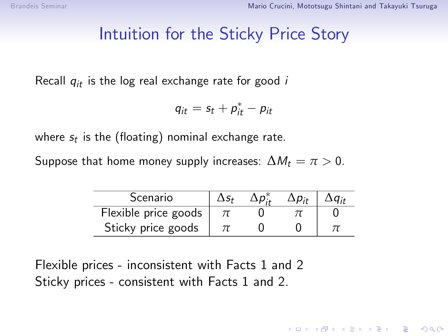### Intuition for the Sticky Price Story

Recall  $q_{it}$  is the log real exchange rate for good i

$$
q_{it} = s_t + p_{it}^* - p_{it}
$$

where  $s_t$  is the (floating) nominal exchange rate.

Suppose that home money supply increases:  $\Delta M_t = \pi > 0$ .

| Scenario             | $\mathbf{r}$ | $\mathbf{M}$ |  |
|----------------------|--------------|--------------|--|
| Flexible price goods |              |              |  |
| Sticky price goods   |              |              |  |

Flexible prices - inconsistent with Facts 1 and 2 Sticky prices - consistent with Facts 1 and 2.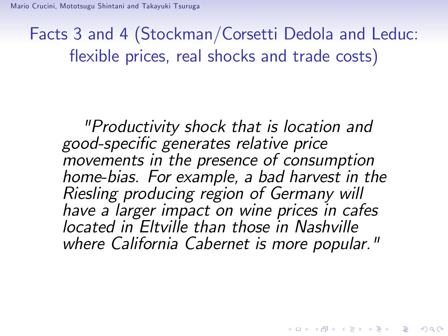Facts 3 and 4 (Stockman/Corsetti Dedola and Leduc: flexible prices, real shocks and trade costs)

"Productivity shock that is location and good-specific generates relative price movements in the presence of consumption home-bias. For example, a bad harvest in the Riesling producing region of Germany will have a larger impact on wine prices in cafes located in Eltville than those in Nashville where California Cabernet is more popular."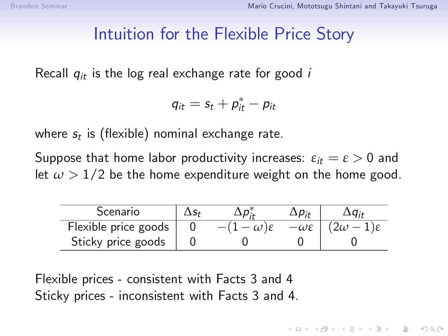### Intuition for the Flexible Price Story

Recall  $q_{it}$  is the log real exchange rate for good i

$$
q_{it} = s_t + p_{it}^* - p_{it}
$$

where  $s_t$  is (flexible) nominal exchange rate.

Suppose that home labor productivity increases:  $\varepsilon_{it} = \varepsilon > 0$  and let  $\omega > 1/2$  be the home expenditure weight on the home good.

| Scenario             |  |                      |           |
|----------------------|--|----------------------|-----------|
| Flexible price goods |  | $-\omega\varepsilon$ | $2\omega$ |
| Sticky price goods   |  |                      |           |

**K ロ ▶ K @ ▶ K 할 X X 할 X → 할 X → 9 Q Q ^** 

Flexible prices - consistent with Facts 3 and 4 Sticky prices - inconsistent with Facts 3 and 4.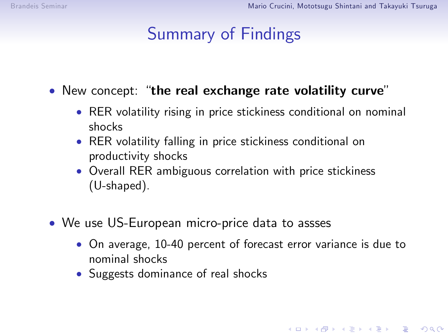# Summary of Findings

 $\bullet$  New concept: "the real exchange rate volatility curve"

- RER volatility rising in price stickiness conditional on nominal shocks
- RER volatility falling in price stickiness conditional on productivity shocks
- Overall RER ambiguous correlation with price stickiness (U-shaped).
- We use US-European micro-price data to assses
	- On average, 10-40 percent of forecast error variance is due to nominal shocks

4 D > 4 P + 4 B + 4 B + B + 9 Q O

• Suggests dominance of real shocks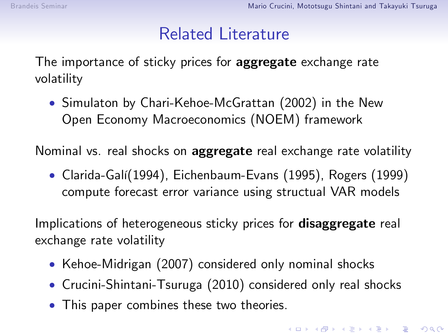### Related Literature

The importance of sticky prices for **aggregate** exchange rate volatility

 Simulaton by Chari-Kehoe-McGrattan (2002) in the New Open Economy Macroeconomics (NOEM) framework

Nominal vs. real shocks on **aggregate** real exchange rate volatility

• Clarida-Galí(1994), Eichenbaum-Evans (1995), Rogers (1999) compute forecast error variance using structual VAR models

Implications of heterogeneous sticky prices for **disaggregate** real exchange rate volatility

- Kehoe-Midrigan (2007) considered only nominal shocks
- Crucini-Shintani-Tsuruga (2010) considered only real shocks
- This paper combines these two theories.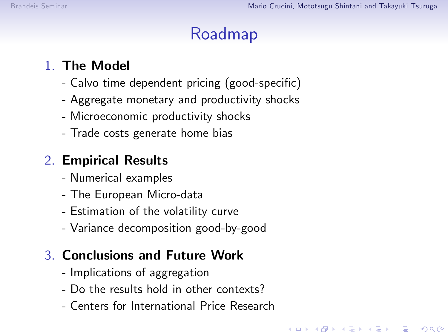# Roadmap

**KORKA SERKER ORA** 

#### 1. The Model

- Calvo time dependent pricing (good-specific)
- Aggregate monetary and productivity shocks
- Microeconomic productivity shocks
- Trade costs generate home bias

#### 2. Empirical Results

- Numerical examples
- The European Micro-data
- Estimation of the volatility curve
- Variance decomposition good-by-good

#### 3. Conclusions and Future Work

- Implications of aggregation
- Do the results hold in other contexts?
- Centers for International Price Research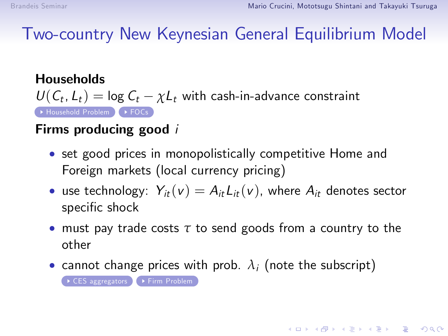Two-country New Keynesian General Equilibrium Model

<span id="page-9-0"></span>**Households**  $U(C_t, L_t) = \log C_t - \chi L_t$  with cash-in-advance constraint → [Household Problem](#page-26-0) ▶ [FOCs](#page-27-0)

#### Firms producing good i

- set good prices in monopolistically competitive Home and Foreign markets (local currency pricing)
- use technology:  $Y_{it}(v) = A_{it}L_{it}(v)$ , where  $A_{it}$  denotes sector specific shock
- must pay trade costs *τ* to send goods from a country to the other

**KORKAR KERKER DRA** 

• cannot change prices with prob.  $\lambda_i$  (note the subscript)

[CES aggregators](#page-28-0) [Firm Problem](#page-29-0)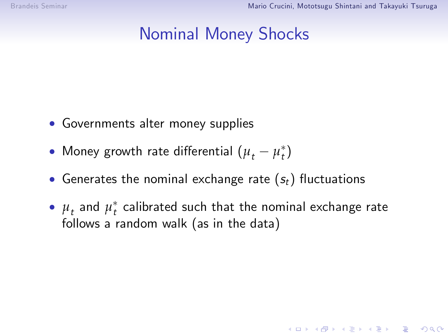### Nominal Money Shocks

- Governments alter money supplies
- Money growth rate differential  $(\mu_t \mu_t^*)$
- Generates the nominal exchange rate  $(s_t)$  fluctuations
- $\bullet$   $\mu_{t}$  and  $\mu_{t}^{\ast}$  calibrated such that the nominal exchange rate follows a random walk (as in the data)

**K ロ ▶ K @ ▶ K 할 X X 할 X → 할 X → 9 Q Q ^**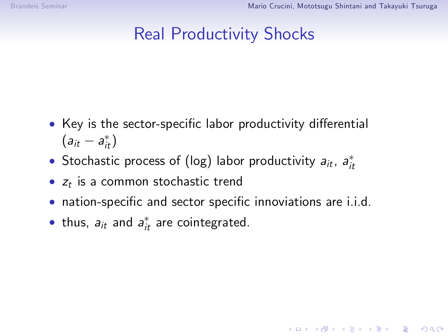### Real Productivity Shocks

- Key is the sector-specific labor productivity differential  $(a_{it} - a_{it}^*)$
- Stochastic process of (log) labor productivity  $a_{it}$ ,  $a_{it}^*$
- $z_t$  is a common stochastic trend
- nation-specific and sector specific innoviations are i.i.d.

 $\bullet$  thus,  $a_{it}$  and  $a_{it}^*$  are cointegrated.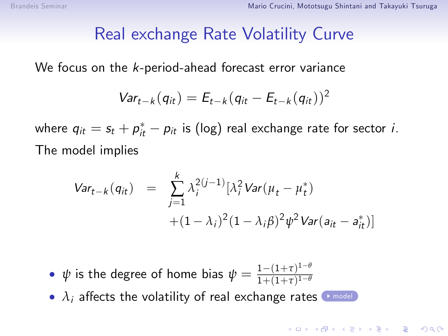#### Real exchange Rate Volatility Curve

<span id="page-12-0"></span>We focus on the k-period-ahead forecast error variance

$$
Var_{t-k}(q_{it})=E_{t-k}(q_{it}-E_{t-k}(q_{it}))^2
$$

where  $q_{it} = s_t + p_{it}^* - p_{it}$  is (log) real exchange rate for sector *i*. The model implies

$$
Var_{t-k}(q_{it}) = \sum_{j=1}^{k} \lambda_{i}^{2(j-1)} [\lambda_{i}^{2} Var(\mu_{t} - \mu_{t}^{*}) + (1 - \lambda_{i})^{2} (1 - \lambda_{i} \beta)^{2} \psi^{2} Var(a_{it} - a_{it}^{*})]
$$

4 D > 4 P + 4 B + 4 B + B + 9 Q O

- $\psi$  is the degree of home bias  $\psi = \frac{1-(1+\tau)^{1-\theta}}{1+(1+\tau)^{1-\theta}}$  $1+(1+\tau)^{1-\theta}$
- $\lambda_i$  affects the volatility of real exchange rates  $\rightarrow$  [model](#page-30-0)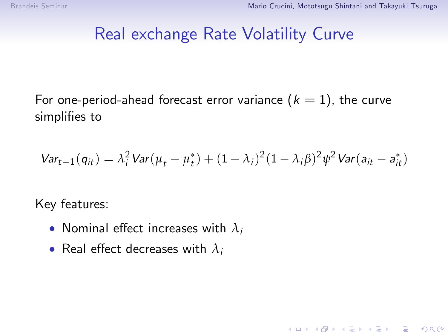#### Real exchange Rate Volatility Curve

For one-period-ahead forecast error variance  $(k = 1)$ , the curve simplifies to

$$
Var_{t-1}(q_{it}) = \lambda_i^2 Var(\mu_t - \mu_t^*) + (1 - \lambda_i)^2 (1 - \lambda_i \beta)^2 \psi^2 Var(a_{it} - a_{it}^*)
$$

K ロ ▶ K @ ▶ K 할 > K 할 > 1 할 > 1 이익어

Key features:

- Nominal effect increases with  $\lambda_i$
- Real effect decreases with  $\lambda_i$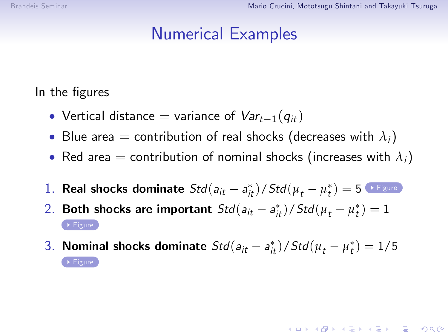### Numerical Examples

<span id="page-14-0"></span>In the figures

- Vertical distance = variance of  $Var_{t-1}(q_{it})$
- Blue area = contribution of real shocks (decreases with  $\lambda_i$ )
- Red area = contribution of nominal shocks (increases with  $\lambda_i$ )
- 1. **Real shocks dominate**  $Std(a_{it} a_{it}^*) / Std(\mu_t \mu_t^*) = 5$  **[Figure](#page-31-0)**
- 2. **Both shocks are important**  $Std(a_{it} a_{it}^*) / Std(\mu_t \mu_t^*) = 1$
- 3. **Nominal shocks dominate**  $Std(a_{it} a_{it}^*) / Std(\mu_t \mu_t^*) = 1/5$

**KORKAR KERKER DRA**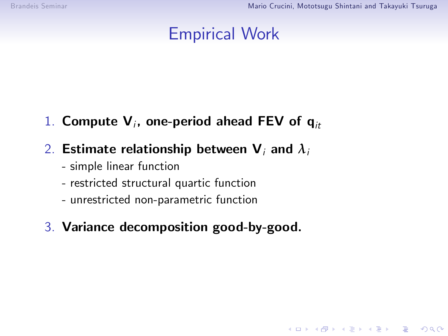## Empirical Work

**KOD KARD KED KED E VOOR** 

 $1.$  Compute  ${\mathsf V}_i$ , one-period ahead FEV of  ${\mathsf q}_{it}$ 

#### 2. Estimate relationship between  $V_i$  and  $\lambda_i$

- simple linear function
- restricted structural quartic function
- unrestricted non-parametric function
- 3. Variance decomposition good-by-good.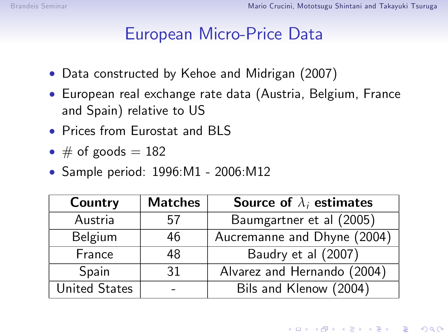### European Micro-Price Data

- Data constructed by Kehoe and Midrigan (2007)
- European real exchange rate data (Austria, Belgium, France and Spain) relative to US
- Prices from Furostat and BLS
- $\bullet \#$  of goods = 182
- Sample period: 1996:M1 2006:M12

| Country              | <b>Matches</b> | Source of $\lambda_i$ estimates |
|----------------------|----------------|---------------------------------|
| Austria              | 57             | Baumgartner et al (2005)        |
| Belgium              | 46             | Aucremanne and Dhyne (2004)     |
| France               | 48             | Baudry et al (2007)             |
| Spain                | 31             | Alvarez and Hernando (2004)     |
| <b>United States</b> |                | Bils and Klenow (2004)          |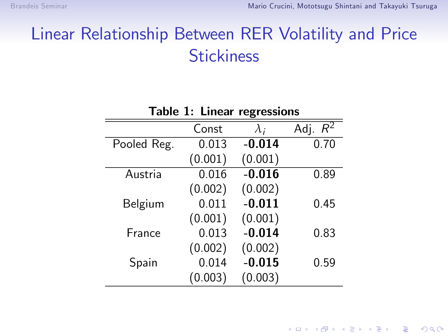## Linear Relationship Between RER Volatility and Price **Stickiness**

|             | Const   | $\lambda_i$ | Adj. $\overline{R^2}$ |
|-------------|---------|-------------|-----------------------|
| Pooled Reg. | 0.013   | $-0.014$    | 0.70                  |
|             | (0.001) | (0.001)     |                       |
| Austria     | 0.016   | $-0.016$    | 0.89                  |
|             | (0.002) | (0.002)     |                       |
| Belgium     | 0.011   | $-0.011$    | 0.45                  |
|             | (0.001) | (0.001)     |                       |
| France      | 0.013   | $-0.014$    | 0.83                  |
|             | (0.002) | (0.002)     |                       |
| Spain       | 0.014   | $-0.015$    | 0.59                  |
|             | (0.003) | (0.003)     |                       |

Table 1: Linear regressions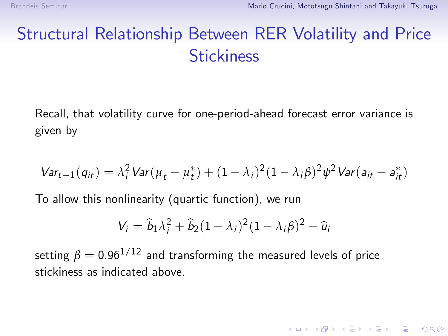## Structural Relationship Between RER Volatility and Price **Stickiness**

Recall, that volatility curve for one-period-ahead forecast error variance is given by

$$
Var_{t-1}(q_{it}) = \lambda_i^2 Var(\mu_t - \mu_t^*) + (1 - \lambda_i)^2 (1 - \lambda_i \beta)^2 \psi^2 Var(a_{it} - a_{it}^*)
$$

To allow this nonlinearity (quartic function), we run

$$
V_i = \widehat{b}_1 \lambda_i^2 + \widehat{b}_2 (1 - \lambda_i)^2 (1 - \lambda_i \beta)^2 + \widehat{u}_i
$$

**K ロ ▶ K @ ▶ K 할 X X 할 X 및 할 X X Q Q O** 

setting  $\beta = 0.96^{1/12}$  and transforming the measured levels of price stickiness as indicated above.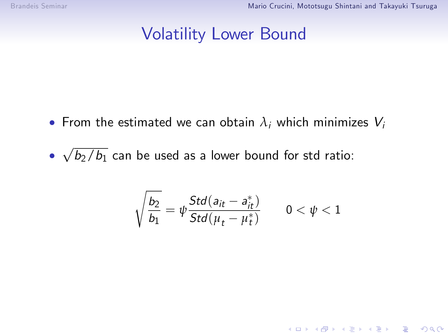#### Volatility Lower Bound

- From the estimated we can obtain  $\lambda_i$  which minimizes  $V_i$
- <span id="page-19-0"></span> $\sqrt{b_2/b_1}$  can be used as a lower bound for std ratio:

$$
\sqrt{\frac{b_2}{b_1}}=\psi\frac{Std(a_{it}-a^*_{it})}{Std(\mu_t-\mu^*_t)}\qquad 0<\psi<1
$$

K ロ K K (P) K (E) K (E) X (E) X (P) K (P)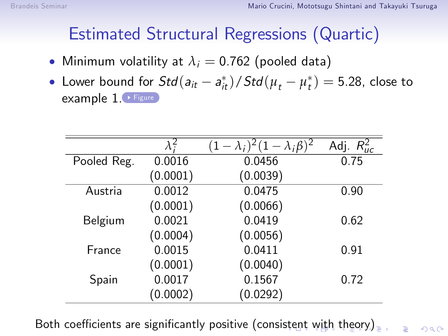## Estimated Structural Regressions (Quartic)

- <span id="page-20-1"></span>• Minimum volatility at  $\lambda_i = 0.762$  (pooled data)
- Lower bound for  $Std(a_{it} a_{it}^*) / Std(\mu_t \mu_t^*) = 5.28$ , close to example 1. [Figure](#page-35-0)

|             | $\lambda$ ? |          | Adj. $R_{\mu c}^2$ |
|-------------|-------------|----------|--------------------|
| Pooled Reg. | 0.0016      | 0.0456   | 0.75               |
|             | (0.0001)    | (0.0039) |                    |
| Austria     | 0.0012      | 0.0475   | 0.90               |
|             | (0.0001)    | (0.0066) |                    |
| Belgium     | 0.0021      | 0.0419   | 0.62               |
|             | (0.0004)    | (0.0056) |                    |
| France      | 0.0015      | 0.0411   | 0.91               |
|             | (0.0001)    | (0.0040) |                    |
| Spain       | 0.0017      | 0.1567   | 0.72               |
|             | (0.0002)    | (0.0292) |                    |

<span id="page-20-0"></span>Both coefficients are significantly positive (consi[ste](#page-19-0)[nt](#page-21-0) [w](#page-19-0)[it](#page-20-0)[h](#page-21-0) [t](#page-0-0)[he](#page-1-1)[or](#page-36-0)[y\)](#page-0-0)

 $\equiv$   $\Omega Q$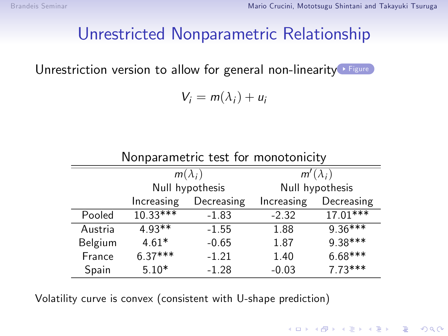### Unrestricted Nonparametric Relationship

<span id="page-21-1"></span>Unrestriction version to allow for general non-linearity [Figure](#page-36-1)

$$
V_i = m(\lambda_i) + u_i
$$

 $m(\lambda_i)$  $m'(\lambda_i)$ Null hypothesis Null hypothesis Increasing Decreasing Increasing Decreasing Pooled 10.33\*\*\* -1.83 -2.32 17.01\*\*\* Austria 4.93\*\* -1.55 1.88 9.36\*\*\* Belgium 4.61\* -0.65 1.87 9.38\*\*\* France  $6.37***$  -1.21 1.40  $6.68***$ 

Spain 5.10\* -1.28 -0.03 7.73\*\*\*

**KOD KARD KED KED E YORA** 

Nonparametric test for monotonicity

<span id="page-21-0"></span>Volatility curve is convex (consistent with U-shape prediction)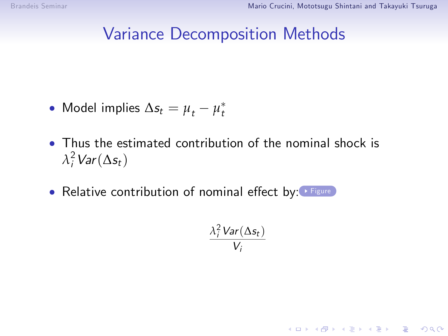### Variance Decomposition Methods

- <span id="page-22-0"></span>• Model implies  $\Delta s_t = \mu_t - \mu_t^*$
- Thus the estimated contribution of the nominal shock is  $\lambda_i^2$  Var $(\Delta s_t)$
- Relative contribution of nominal effect by: [Figure](#page-34-0)

$$
\frac{\lambda_i^2 \text{Var}(\Delta s_t)}{V_i}
$$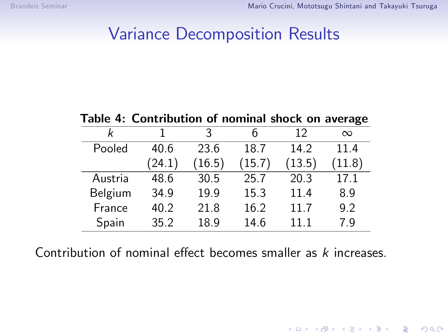### Variance Decomposition Results

Table 4: Contribution of nominal shock on average k 1 3 6 12  $\infty$ Pooled 40.6 23.6 18.7 14.2 11.4 (24.1) (16.5) (15.7) (13.5) (11.8) Austria 48.6 30.5 25.7 20.3 17.1 Belgium 34.9 19.9 15.3 11.4 8.9 France 40.2 21.8 16.2 11.7 9.2 Spain 35.2 18.9 14.6 11.1 7.9

Contribution of nominal effect becomes smaller as  $k$  increases.

**KOD KARD KED KED E YORA**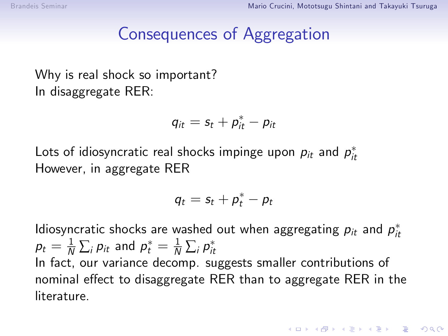### Consequences of Aggregation

Why is real shock so important? In disaggregate RER:

$$
q_{it} = s_t + p_{it}^* - p_{it}
$$

Lots of idiosyncratic real shocks impinge upon  $\rho_{it}$  and  $\rho_{it}^*$ However, in aggregate RER

$$
q_t = s_t + p_t^* - p_t
$$

Idiosyncratic shocks are washed out when aggregating  $p_{it}$  and  $p_{it}^*$  $\rho_t = \frac{1}{N}\sum_i \rho_{it}$  and  $\rho_t^* = \frac{1}{N}\sum_i \rho_{it}^*$ In fact, our variance decomp. suggests smaller contributions of nominal effect to disaggregate RER than to aggregate RER in the literature.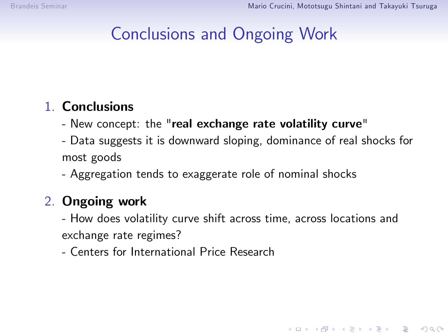## Conclusions and Ongoing Work

#### 1. Conclusions

- New concept: the "real exchange rate volatility curve"
- Data suggests it is downward sloping, dominance of real shocks for most goods
- Aggregation tends to exaggerate role of nominal shocks

#### 2. Ongoing work

- How does volatility curve shift across time, across locations and exchange rate regimes?

**KOD KARD KED KED E VOOR** 

- Centers for International Price Research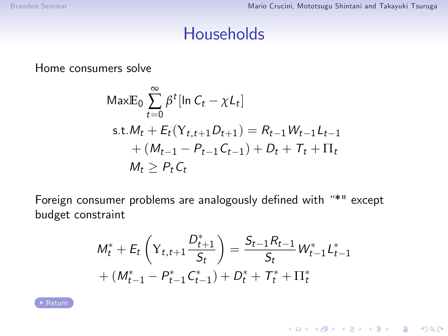#### **Households**

<span id="page-26-0"></span>Home consumers solve

$$
\begin{aligned} \text{MaxE}_0 & \sum_{t=0}^{\infty} \beta^t [\ln C_t - \chi L_t] \\ \text{s.t.} & M_t + E_t(Y_{t,t+1}D_{t+1}) = R_{t-1}W_{t-1}L_{t-1} \\ &+ (M_{t-1} - P_{t-1}C_{t-1}) + D_t + T_t + \Pi_t \\ & M_t \ge P_t C_t \end{aligned}
$$

Foreign consumer problems are analogously defined with "\*" except budget constraint

$$
M_t^* + E_t \left(Y_{t,t+1} \frac{D_{t+1}^*}{S_t}\right) = \frac{S_{t-1} R_{t-1}}{S_t} W_{t-1}^* L_{t-1}^*
$$
  
+ 
$$
(M_{t-1}^* - P_{t-1}^* C_{t-1}^*) + D_t^* + T_t^* + \Pi_t^*
$$

K ロ ▶ K @ ▶ K 할 > K 할 > 1 할 > 1 ⊙ Q Q ©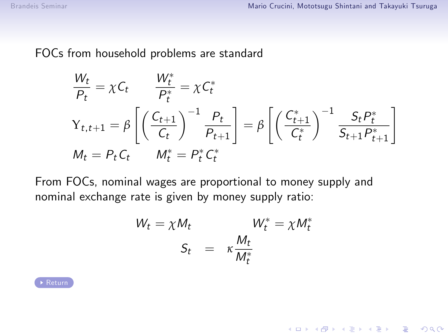<span id="page-27-0"></span>FOCs from household problems are standard

$$
\frac{W_t}{P_t} = \chi C_t \qquad \frac{W_t^*}{P_t^*} = \chi C_t^*
$$
\n
$$
Y_{t,t+1} = \beta \left[ \left( \frac{C_{t+1}}{C_t} \right)^{-1} \frac{P_t}{P_{t+1}} \right] = \beta \left[ \left( \frac{C_{t+1}^*}{C_t^*} \right)^{-1} \frac{S_t P_t^*}{S_{t+1} P_{t+1}^*} \right]
$$
\n
$$
M_t = P_t C_t \qquad M_t^* = P_t^* C_t^*
$$

From FOCs, nominal wages are proportional to money supply and nominal exchange rate is given by money supply ratio:

$$
W_t = \chi M_t
$$
  

$$
S_t = \kappa \frac{M_t}{M_t^*}
$$
  

$$
W_t^* = \chi M_t^*
$$

K ロ ▶ K @ ▶ K 할 X X 할 X | 할 X 1 9 Q Q ^

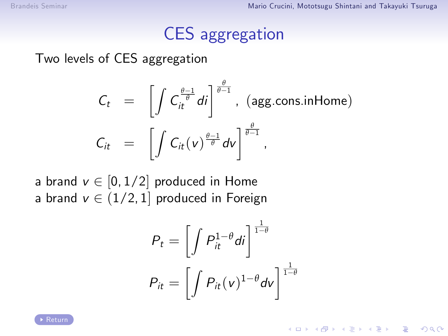## CES aggregation

<span id="page-28-0"></span>Two levels of CES aggregation

$$
C_t = \left[ \int C_t^{\frac{\theta-1}{\theta}} di \right]^{\frac{\theta}{\theta-1}}, \text{ (agg-cons.inHome)}
$$
  

$$
C_{it} = \left[ \int C_{it}(v)^{\frac{\theta-1}{\theta}} dv \right]^{\frac{\theta}{\theta-1}},
$$

a brand  $v \in [0, 1/2]$  produced in Home a brand  $v \in (1/2, 1]$  produced in Foreign

$$
P_t = \left[ \int P_{it}^{1-\theta} di \right]^{\frac{1}{1-\theta}}
$$

$$
P_{it} = \left[ \int P_{it}(v)^{1-\theta} dv \right]^{\frac{1}{1-\theta}}
$$

K ロ ▶ K @ ▶ K 할 > K 할 > 1 할 > 1 이익어

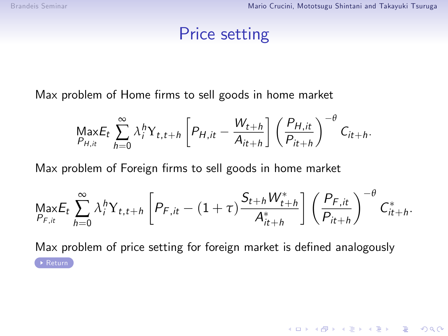### Price setting

<span id="page-29-0"></span>Max problem of Home firms to sell goods in home market

$$
\underset{P_{H,it}}{\text{Max}} E_t \sum_{h=0}^{\infty} \lambda_i^h Y_{t,t+h} \left[ P_{H,it} - \frac{W_{t+h}}{A_{it+h}} \right] \left( \frac{P_{H,it}}{P_{it+h}} \right)^{-\theta} C_{it+h}.
$$

Max problem of Foreign firms to sell goods in home market

$$
\underset{P_{F,i_t}}{\text{Max}} E_t \sum_{h=0}^{\infty} \lambda_i^h Y_{t,t+h} \left[ P_{F,i_t} - (1+\tau) \frac{S_{t+h} W_{t+h}^*}{A_{it+h}^*} \right] \left( \frac{P_{F,i_t}}{P_{it+h}} \right)^{-\theta} C_{it+h}^*.
$$

Max problem of price setting for foreign market is defined analogously [Return](#page-9-0)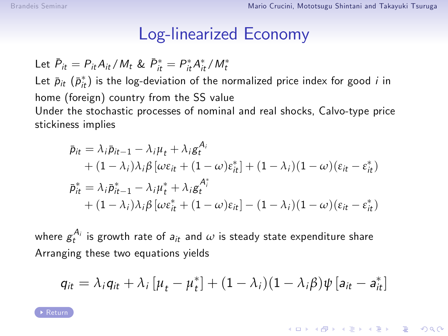#### Log-linearized Economy

<span id="page-30-0"></span>Let  $\bar{P}_{it} = P_{it} A_{it} / M_t$  &  $\bar{P}_{it}^* = P_{it}^* A_{it}^* / M_t^*$ Let  $\bar{p}_{it}$   $(\bar{p}_{it}^*)$  is the log-deviation of the normalized price index for good  $i$  in home (foreign) country from the SS value Under the stochastic processes of nominal and real shocks, Calvo-type price stickiness implies

$$
\bar{p}_{it} = \lambda_i \bar{p}_{it-1} - \lambda_i \mu_t + \lambda_i g_t^{A_i} \n+ (1 - \lambda_i)\lambda_i \beta \left[ \omega \varepsilon_{it} + (1 - \omega) \varepsilon_{it}^* \right] + (1 - \lambda_i)(1 - \omega)(\varepsilon_{it} - \varepsilon_{it}^*) \n\bar{p}_{it}^* = \lambda_i \bar{p}_{it-1}^* - \lambda_i \mu_t^* + \lambda_i g_t^{A_t^*} \n+ (1 - \lambda_i)\lambda_i \beta \left[ \omega \varepsilon_{it}^* + (1 - \omega) \varepsilon_{it} \right] - (1 - \lambda_i)(1 - \omega)(\varepsilon_{it} - \varepsilon_{it}^*)
$$

where  $g_t^{A_i}$  is growth rate of  $a_{it}$  and  $\omega$  is steady state expenditure share Arranging these two equations yields

$$
q_{it} = \lambda_i q_{it} + \lambda_i [\mu_t - \mu_t^*] + (1 - \lambda_i)(1 - \lambda_i \beta) \psi [a_{it} - a_{it}^*]
$$

**KORKAR KERKER DRA** 

[Return](#page-12-0)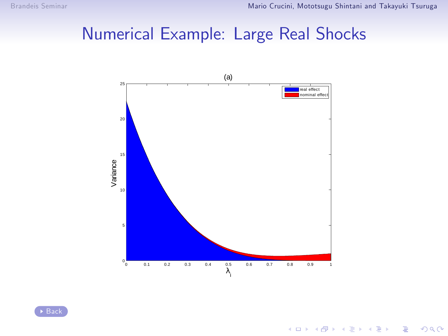## <span id="page-31-0"></span>Numerical Example: Large Real Shocks



イロト イ部 トイをトイをトー

 $\equiv$  990

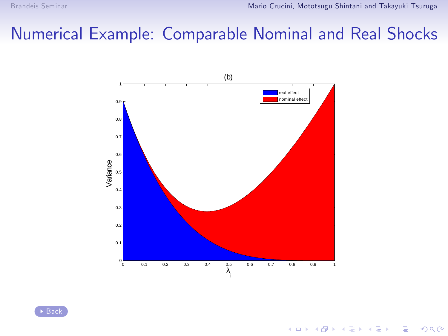## <span id="page-32-0"></span>Numerical Example: Comparable Nominal and Real Shocks



[Back](#page-14-0)

K ロ > K @ > K 할 > K 할 > 1 할 : ⊙ Q Q^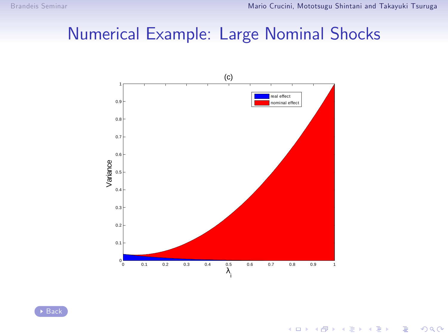## <span id="page-33-0"></span>Numerical Example: Large Nominal Shocks





K ロ ▶ K @ ▶ K 할 > K 할 > 1 할 > 1 ⊙ Q Q ^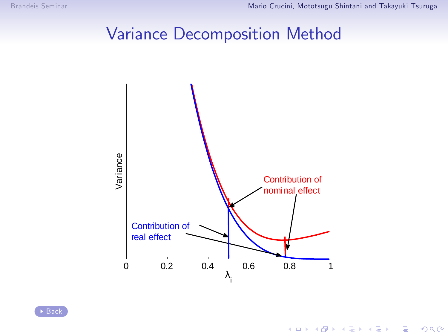### Variance Decomposition Method

<span id="page-34-0"></span>

K ロ ▶ K @ ▶ K 할 > K 할 > 1 할 > 1 ⊙ Q Q ^

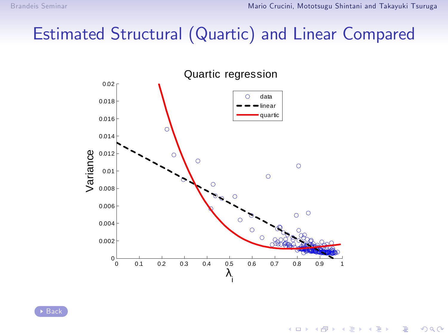## <span id="page-35-0"></span>Estimated Structural (Quartic) and Linear Compared



 $\Rightarrow$ 

 $\Rightarrow$ 

**K ロ ト K 伊 ト K ヨ ト** 

 $299$